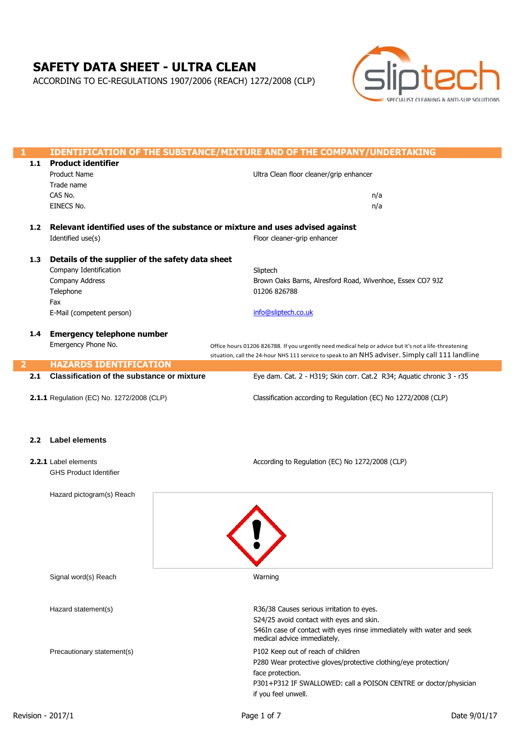# **SAFETY DATA SHEET - ULTRA CLEAN**

ACCORDING TO EC-REGULATIONS 1907/2006 (REACH) 1272/2008 (CLP)



| 1.1              | <b>IDENTIFICATION OF THE SUBSTANCE/MIXTURE AND OF THE COMPANY/UNDERTAKING</b><br><b>Product identifier</b> |  |                                                                                                                                                                                                            |  |
|------------------|------------------------------------------------------------------------------------------------------------|--|------------------------------------------------------------------------------------------------------------------------------------------------------------------------------------------------------------|--|
|                  | <b>Product Name</b>                                                                                        |  |                                                                                                                                                                                                            |  |
|                  |                                                                                                            |  | Ultra Clean floor cleaner/grip enhancer                                                                                                                                                                    |  |
|                  | Trade name                                                                                                 |  |                                                                                                                                                                                                            |  |
|                  | CAS No.                                                                                                    |  | n/a                                                                                                                                                                                                        |  |
|                  | EINECS No.                                                                                                 |  | n/a                                                                                                                                                                                                        |  |
| 1.2              |                                                                                                            |  | Relevant identified uses of the substance or mixture and uses advised against                                                                                                                              |  |
|                  | Identified use(s)                                                                                          |  | Floor cleaner-grip enhancer                                                                                                                                                                                |  |
|                  |                                                                                                            |  |                                                                                                                                                                                                            |  |
| 1.3              | Details of the supplier of the safety data sheet                                                           |  |                                                                                                                                                                                                            |  |
|                  | Company Identification                                                                                     |  | Sliptech                                                                                                                                                                                                   |  |
|                  | Company Address                                                                                            |  | Brown Oaks Barns, Alresford Road, Wivenhoe, Essex CO7 9JZ                                                                                                                                                  |  |
|                  | Telephone                                                                                                  |  | 01206 826788                                                                                                                                                                                               |  |
|                  | Fax                                                                                                        |  |                                                                                                                                                                                                            |  |
|                  | E-Mail (competent person)                                                                                  |  | info@sliptech.co.uk                                                                                                                                                                                        |  |
|                  |                                                                                                            |  |                                                                                                                                                                                                            |  |
| 1.4              | <b>Emergency telephone number</b>                                                                          |  |                                                                                                                                                                                                            |  |
|                  | Emergency Phone No.                                                                                        |  |                                                                                                                                                                                                            |  |
|                  |                                                                                                            |  | Office hours 01206 826788. If you urgently need medical help or advice but it's not a life-threatening<br>situation, call the 24-hour NHS 111 service to speak to an NHS adviser. Simply call 111 landline |  |
|                  | <b>HAZARDS IDENTIFICATION</b>                                                                              |  |                                                                                                                                                                                                            |  |
| 2.1              | <b>Classification of the substance or mixture</b>                                                          |  | Eye dam. Cat. 2 - H319; Skin corr. Cat.2 R34; Aquatic chronic 3 - r35                                                                                                                                      |  |
|                  |                                                                                                            |  |                                                                                                                                                                                                            |  |
|                  | 2.1.1 Regulation (EC) No. 1272/2008 (CLP)                                                                  |  | Classification according to Regulation (EC) No 1272/2008 (CLP)                                                                                                                                             |  |
|                  |                                                                                                            |  |                                                                                                                                                                                                            |  |
|                  |                                                                                                            |  |                                                                                                                                                                                                            |  |
|                  |                                                                                                            |  |                                                                                                                                                                                                            |  |
| 2.2 <sub>2</sub> | <b>Label elements</b>                                                                                      |  |                                                                                                                                                                                                            |  |
|                  |                                                                                                            |  |                                                                                                                                                                                                            |  |
|                  | 2.2.1 Label elements                                                                                       |  | According to Regulation (EC) No 1272/2008 (CLP)                                                                                                                                                            |  |
|                  | <b>GHS Product Identifier</b>                                                                              |  |                                                                                                                                                                                                            |  |
|                  |                                                                                                            |  |                                                                                                                                                                                                            |  |
|                  | Hazard pictogram(s) Reach                                                                                  |  |                                                                                                                                                                                                            |  |
|                  |                                                                                                            |  |                                                                                                                                                                                                            |  |
|                  |                                                                                                            |  |                                                                                                                                                                                                            |  |
|                  |                                                                                                            |  |                                                                                                                                                                                                            |  |
|                  |                                                                                                            |  |                                                                                                                                                                                                            |  |
|                  |                                                                                                            |  |                                                                                                                                                                                                            |  |
|                  |                                                                                                            |  |                                                                                                                                                                                                            |  |
|                  |                                                                                                            |  |                                                                                                                                                                                                            |  |
|                  | Signal word(s) Reach                                                                                       |  | Warning                                                                                                                                                                                                    |  |
|                  |                                                                                                            |  |                                                                                                                                                                                                            |  |
|                  |                                                                                                            |  |                                                                                                                                                                                                            |  |
|                  | Hazard statement(s)                                                                                        |  | R36/38 Causes serious irritation to eyes.                                                                                                                                                                  |  |
|                  |                                                                                                            |  | S24/25 avoid contact with eyes and skin.                                                                                                                                                                   |  |
|                  |                                                                                                            |  | S46In case of contact with eyes rinse immediately with water and seek                                                                                                                                      |  |
|                  |                                                                                                            |  | medical advice immediately.                                                                                                                                                                                |  |
|                  | Precautionary statement(s)                                                                                 |  | P102 Keep out of reach of children                                                                                                                                                                         |  |
|                  |                                                                                                            |  | P280 Wear protective gloves/protective clothing/eye protection/                                                                                                                                            |  |
|                  |                                                                                                            |  |                                                                                                                                                                                                            |  |
|                  |                                                                                                            |  | face protection.                                                                                                                                                                                           |  |
|                  |                                                                                                            |  | P301+P312 IF SWALLOWED: call a POISON CENTRE or doctor/physician                                                                                                                                           |  |
|                  |                                                                                                            |  | if you feel unwell.                                                                                                                                                                                        |  |

L

L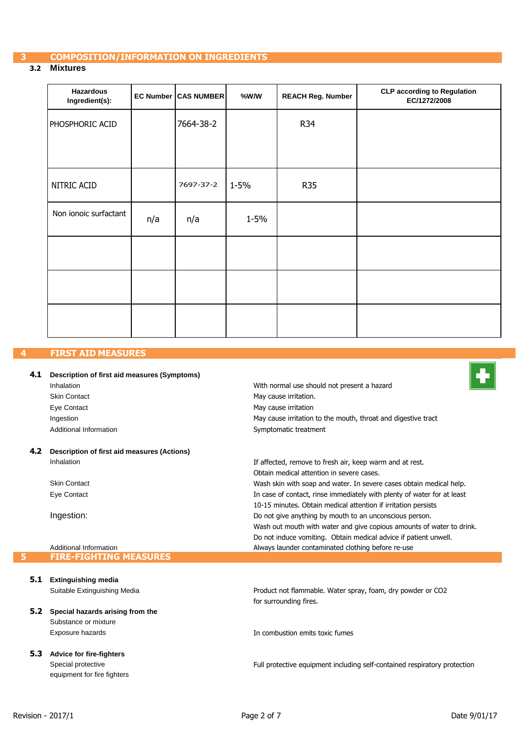# **3 COMPOSITION/INFORMATION ON INGREDIENTS**

#### **3.2 Mixtures**

| <b>Hazardous</b><br>Ingredient(s): |     | <b>EC Number CAS NUMBER</b> | %W/W     | <b>REACH Reg. Number</b> | <b>CLP according to Regulation</b><br>EC/1272/2008 |
|------------------------------------|-----|-----------------------------|----------|--------------------------|----------------------------------------------------|
| PHOSPHORIC ACID                    |     | 7664-38-2                   |          | <b>R34</b>               |                                                    |
|                                    |     |                             |          |                          |                                                    |
| NITRIC ACID                        |     | 7697-37-2                   | 1-5%     | <b>R35</b>               |                                                    |
| Non ionoic surfactant              | n/a | n/a                         | $1 - 5%$ |                          |                                                    |
|                                    |     |                             |          |                          |                                                    |
|                                    |     |                             |          |                          |                                                    |
|                                    |     |                             |          |                          |                                                    |

#### **4 FIRST AID MEASURES**

#### **4.1 Description of first aid measures (Symptoms)** Inhalation Skin Contact Eye Contact Ingestion Additional Information **4.2 Description of first aid measures (Actions)** With normal use should not present a hazard May cause irritation. May cause irritation May cause irritation to the mouth, throat and digestive tract Symptomatic treatment

Inhalation Skin Contact Eye Contact Ingestion: Additional Information If affected, remove to fresh air, keep warm and at rest. Obtain medical attention in severe cases. Wash skin with soap and water. In severe cases obtain medical help. In case of contact, rinse immediately with plenty of water for at least 10-15 minutes. Obtain medical attention if irritation persists Do not give anything by mouth to an unconscious person. Wash out mouth with water and give copious amounts of water to drink. Do not induce vomiting. Obtain medical advice if patient unwell. Always launder contaminated clothing before re-use **5 FIRE-FIGHTING MEASURES**

# **5.1 Extinguishing media**

Suitable Extinguishing Media

# **5.2 Special hazards arising from the** Substance or mixture

Exposure hazards

#### **5.3 Advice for fire-fighters**  Special protective

equipment for fire fighters

Product not flammable. Water spray, foam, dry powder or CO2 for surrounding fires.

In combustion emits toxic fumes

Full protective equipment including self-contained respiratory protection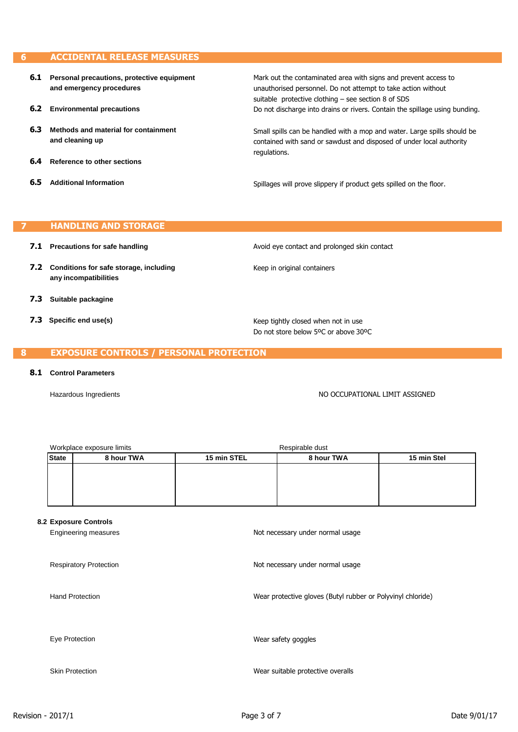#### **ACCIDENTAL RELEASE MEASURES G**

**6.1 Personal precautions, protective equipment and emergency procedures 6.2 Environmental precautions 6.3 Methods and material for containment and cleaning up 6.4 Reference to other sections 6.5 Additional Information** Mark out the contaminated area with signs and prevent access to unauthorised personnel. Do not attempt to take action without suitable protective clothing – see section 8 of SDS Do not discharge into drains or rivers. Contain the spillage using bunding. Small spills can be handled with a mop and water. Large spills should be contained with sand or sawdust and disposed of under local authority regulations. Spillages will prove slippery if product gets spilled on the floor.

#### **HANDLING AND STORAGE**

- **7.1 Precautions for safe handling**
- **7.2 Conditions for safe storage, including any incompatibilities**
- **7.3 Suitable packagine**
- **7.3 Specific end use(s)**

Avoid eye contact and prolonged skin contact

Keep in original containers

Keep tightly closed when not in use Do not store below 5ºC or above 30ºC

#### **EXPOSURE CONTROLS / PERSONAL PROTECTION**

#### **8.1 Control Parameters**

я

Hazardous Ingredients **NO OCCUPATIONAL LIMIT ASSIGNED** 

|                | Workplace exposure limits     |             | Respirable dust                                             |             |
|----------------|-------------------------------|-------------|-------------------------------------------------------------|-------------|
| <b>State</b>   | 8 hour TWA                    | 15 min STEL | 8 hour TWA                                                  | 15 min Stel |
|                |                               |             |                                                             |             |
|                |                               |             |                                                             |             |
|                |                               |             |                                                             |             |
|                |                               |             |                                                             |             |
|                | 8.2 Exposure Controls         |             |                                                             |             |
|                | Engineering measures          |             | Not necessary under normal usage                            |             |
|                |                               |             |                                                             |             |
|                |                               |             |                                                             |             |
|                | <b>Respiratory Protection</b> |             | Not necessary under normal usage                            |             |
|                |                               |             |                                                             |             |
|                | <b>Hand Protection</b>        |             | Wear protective gloves (Butyl rubber or Polyvinyl chloride) |             |
|                |                               |             |                                                             |             |
|                |                               |             |                                                             |             |
|                |                               |             |                                                             |             |
| Eye Protection |                               |             | Wear safety goggles                                         |             |
|                |                               |             |                                                             |             |
|                |                               |             |                                                             |             |
|                | <b>Skin Protection</b>        |             | Wear suitable protective overalls                           |             |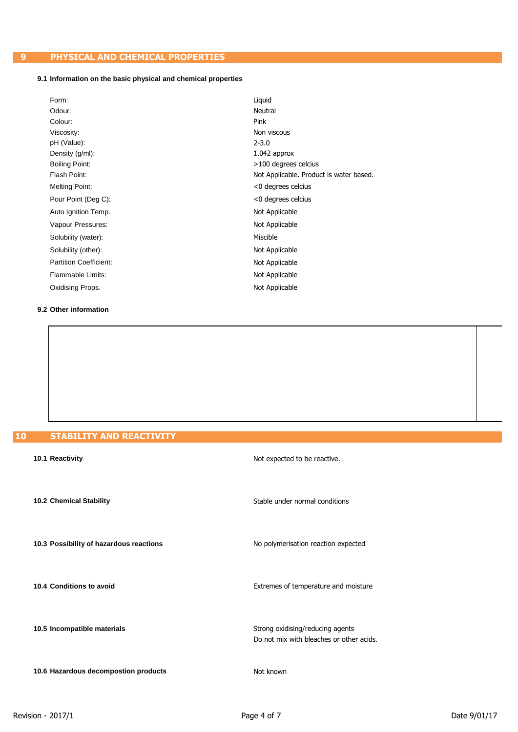# **9 PHYSICAL AND CHEMICAL PROPERTIES**

## **9.1 Information on the basic physical and chemical properties**

| Form:                         | Liguid                                  |
|-------------------------------|-----------------------------------------|
| Odour:                        | Neutral                                 |
| Colour:                       | Pink                                    |
| Viscosity:                    | Non viscous                             |
| pH (Value):                   | $2 - 3.0$                               |
| Density (g/ml):               | $1.042$ approx                          |
| Boiling Point:                | >100 degrees celcius                    |
| Flash Point:                  | Not Applicable. Product is water based. |
| <b>Melting Point:</b>         | <0 degrees celcius                      |
| Pour Point (Deg C):           | <0 degrees celcius                      |
| Auto Ignition Temp.           | Not Applicable                          |
| Vapour Pressures:             | Not Applicable                          |
| Solubility (water):           | Miscible                                |
| Solubility (other):           | Not Applicable                          |
| <b>Partition Coefficient:</b> | Not Applicable                          |
| Flammable Limits:             | Not Applicable                          |
| Oxidising Props.              | Not Applicable                          |

#### **9.2 Other information**

| 10 |  | <b>STABILITY AND REACTIVITY</b> |  |  |
|----|--|---------------------------------|--|--|
|    |  |                                 |  |  |
|    |  |                                 |  |  |

| 10.1 Reactivity                         | Not expected to be reactive.                                                 |
|-----------------------------------------|------------------------------------------------------------------------------|
| 10.2 Chemical Stability                 | Stable under normal conditions                                               |
| 10.3 Possibility of hazardous reactions | No polymerisation reaction expected                                          |
| 10.4 Conditions to avoid                | Extremes of temperature and moisture                                         |
| 10.5 Incompatible materials             | Strong oxidising/reducing agents<br>Do not mix with bleaches or other acids. |
| 10.6 Hazardous decompostion products    | Not known                                                                    |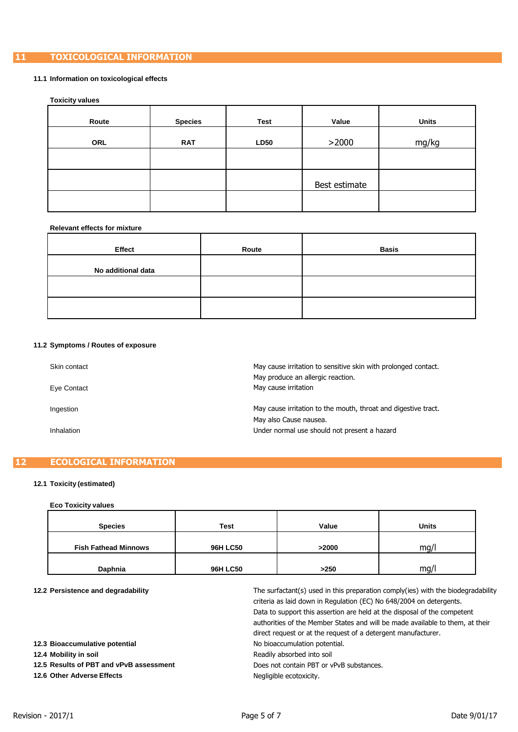# **11 TOXICOLOGICAL INFORMATION**

#### **11.1 Information on toxicological effects**

#### **Toxicity values**

| Route      | <b>Species</b> | <b>Test</b> | Value         | <b>Units</b> |
|------------|----------------|-------------|---------------|--------------|
| <b>ORL</b> | <b>RAT</b>     | <b>LD50</b> | >2000         | mg/kg        |
|            |                |             |               |              |
|            |                |             | Best estimate |              |
|            |                |             |               |              |

#### **Relevant effects for mixture**

| Effect             | Route | <b>Basis</b> |
|--------------------|-------|--------------|
| No additional data |       |              |
|                    |       |              |
|                    |       |              |

## **11.2 Symptoms / Routes of exposure**

| Skin contact<br>Eye Contact | May cause irritation to sensitive skin with prolonged contact.<br>May produce an allergic reaction.<br>May cause irritation |
|-----------------------------|-----------------------------------------------------------------------------------------------------------------------------|
| Ingestion                   | May cause irritation to the mouth, throat and digestive tract.<br>May also Cause nausea.                                    |
| Inhalation                  | Under normal use should not present a hazard                                                                                |

## **12 ECOLOGICAL INFORMATION**

## **12.1 Toxicity (estimated)**

#### **Eco Toxicity values**

| <b>Species</b>              | <b>Test</b>     | Value | <b>Units</b> |
|-----------------------------|-----------------|-------|--------------|
| <b>Fish Fathead Minnows</b> | <b>96H LC50</b> | >2000 | mg/l         |
| Daphnia                     | <b>96H LC50</b> | >250  | mg/l         |

#### **12.2 Persistence and degradability**

| 12.2 Persistence and degradability      | The surfactant(s) used in this preparation comply(ies) with the biodegradability |
|-----------------------------------------|----------------------------------------------------------------------------------|
|                                         | criteria as laid down in Regulation (EC) No 648/2004 on detergents.              |
|                                         | Data to support this assertion are held at the disposal of the competent         |
|                                         | authorities of the Member States and will be made available to them, at their    |
|                                         | direct request or at the request of a detergent manufacturer.                    |
| 12.3 Bioaccumulative potential          | No bioaccumulation potential.                                                    |
| 12.4 Mobility in soil                   | Readily absorbed into soil                                                       |
| 12.5 Results of PBT and vPvB assessment | Does not contain PBT or yPvB substances.                                         |
| 12.6 Other Adverse Effects              | Negligible ecotoxicity.                                                          |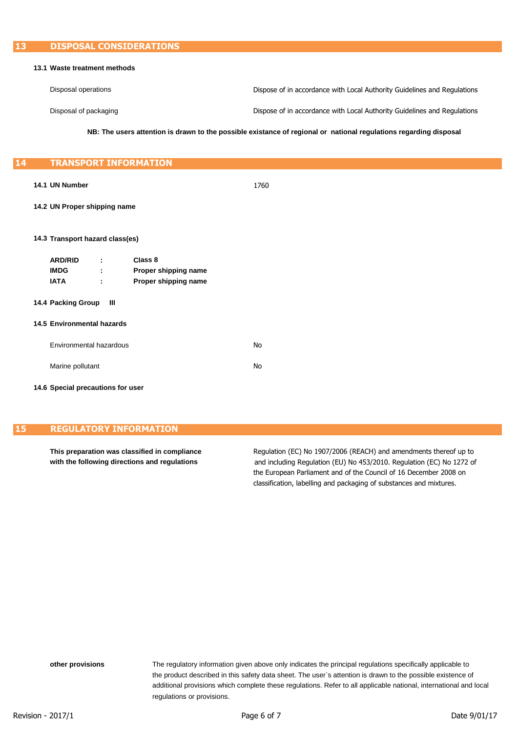#### **13.1 Waste treatment methods**

| Disposal operations   | Dispose of in accordance with Local Authority Guidelines and Regulations |
|-----------------------|--------------------------------------------------------------------------|
| Disposal of packaging | Dispose of in accordance with Local Authority Guidelines and Regulations |

**NB: The users attention is drawn to the possible existance of regional or national regulations regarding disposal**

#### **14 TRANSPORT INFORMATION**

**14.1 UN Number** 1760

#### **14.2 UN Proper shipping name**

#### **14.3 Transport hazard class(es)**

| <b>ARD/RID</b> | ٠<br>٠ | Class 8              |
|----------------|--------|----------------------|
| <b>IMDG</b>    | ٠<br>٠ | Proper shipping name |
| IATA           | ٠<br>٠ | Proper shipping name |

#### **14.4 Packing Group III**

#### **14.5 Environmental hazards**

| Environmental hazardous | No. |
|-------------------------|-----|
| Marine pollutant        | No. |

#### **14.6 Special precautions for user**

# **15 REGULATORY INFORMATION**

**This preparation was classified in compliance** Regulation (EC) No 1907/2006 (REACH) and amendments thereof up to **with the following directions and regulations** and including Regulation (EU) No 453/2010. Regulation (EC) No 1272 of the European Parliament and of the Council of 16 December 2008 on classification, labelling and packaging of substances and mixtures.

**other provisions** The regulatory information given above only indicates the principal regulations specifically applicable to the product described in this safety data sheet. The user`s attention is drawn to the possible existence of additional provisions which complete these regulations. Refer to all applicable national, international and local regulations or provisions.